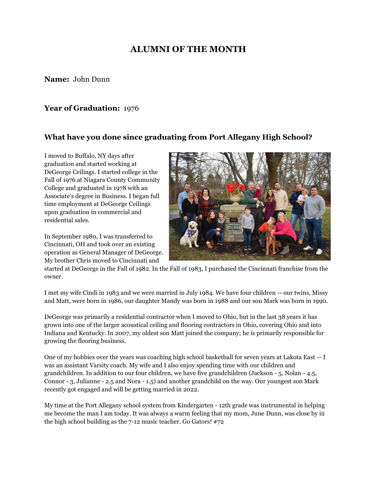# **ALUMNI OF THE MONTH**

**Name:** John Dunn

#### **Year of Graduation:** 1976

#### **What have you done since graduating from Port Allegany High School?**

I moved to Buffalo, NY days after graduation and started working at DeGeorge Ceilings. I started college in the Fall of 1976 at Niagara County Community College and graduated in 1978 with an Associate's degree in Business. I began full time employment at DeGeorge Ceilings upon graduation in commercial and residential sales.

In September 1980, I was transferred to Cincinnati, OH and took over an existing operation as General Manager of DeGeorge. My brother Chris moved to Cincinnati and



started at DeGeorge in the Fall of 1982. In the Fall of 1983, I purchased the Cincinnati franchise from the owner.

I met my wife Cindi in 1983 and we were married in July 1984. We have four children -- our twins, Missy and Matt, were born in 1986, our daughter Mandy was born in 1988 and our son Mark was born in 1990.

DeGeorge was primarily a residential contractor when I moved to Ohio, but in the last 38 years it has grown into one of the larger acoustical ceiling and flooring contractors in Ohio, covering Ohio and into Indiana and Kentucky. In 2007, my oldest son Matt joined the company; he is primarily responsible for growing the flooring business.

One of my hobbies over the years was coaching high school basketball for seven years at Lakota East -- I was an assistant Varsity coach. My wife and I also enjoy spending time with our children and grandchildren. In addition to our four children, we have five grandchildren (Jackson - 5, Nolan - 4.5, Connor - 3, Julianne - 2.5 and Nora - 1.5) and another grandchild on the way. Our youngest son Mark recently got engaged and will be getting married in 2022.

My time at the Port Allegany school system from Kindergarten - 12th grade was instrumental in helping me become the man I am today. It was always a warm feeling that my mom, June Dunn, was close by in the high school building as the 7-12 music teacher. Go Gators! #72